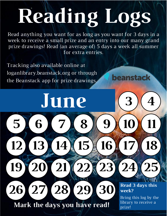# **Reading Logs**

Read anything you want for as long as you want for 3 days in a week to receive a small prize and an entry into our many grand prize drawings! Read (an average of) 5 days a week all summer for extra entries.

**12 13 14 15 16 17 18**

**19 20 21 22 23 24 25**

Tracking also available online at loganlibrary.beanstack.org or through the Beanstack app for prize drawings.

**5 6 7 8 9 10 11**

**June**

**26 27 28 29 30**

**Read 3 days this week?**

**3**)(4)

beanstack

**3**

**3**

**3**

Bring this log by the **Mark the days you have read!** prize!